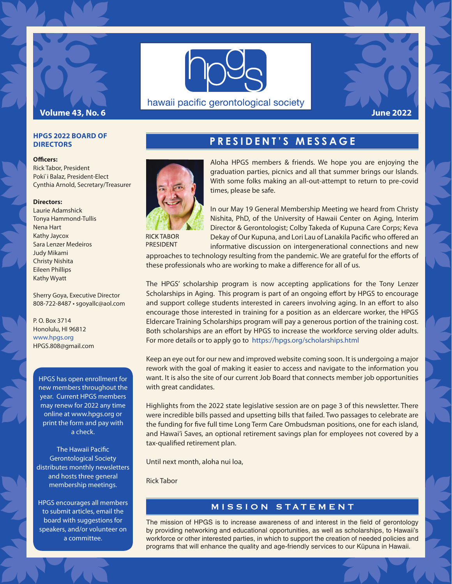



hawaii pacific gerontological society



#### **HPGS 2022 BOARD OF DIRECTORS**

#### **Officers:**

Rick Tabor, President Poki`i Balaz, President-Elect Cynthia Arnold, Secretary/Treasurer

#### **Directors:**

Laurie Adamshick Tonya Hammond-Tullis Nena Hart Kathy Jaycox Sara Lenzer Medeiros Judy Mikami Christy Nishita Eileen Phillips Kathy Wyatt

Sherry Goya, Executive Director 808-722-8487 • sgoyallc@aol.com

P. O. Box 3714 Honolulu, HI 96812 www.hpgs.org HPGS.808@gmail.com

HPGS has open enrollment for new members throughout the year. Current HPGS members may renew for 2022 any time online at www.hpgs.org or print the form and pay with a check.

**The Hawaii Pacific** Gerontological Society distributes monthly newsletters and hosts three general membership meetings.

HPGS encourages all members to submit articles, email the board with suggestions for speakers, and/or volunteer on a committee.

# **PRESIDENT'S MESSAGE**



**RICK TABOR** PRESIDENT

Aloha HPGS members & friends. We hope you are enjoying the graduation parties, picnics and all that summer brings our Islands. With some folks making an all-out-attempt to return to pre-covid times, please be safe.

In our May 19 General Membership Meeting we heard from Christy Nishita, PhD, of the University of Hawaii Center on Aging, Interim Director & Gerontologist; Colby Takeda of Kupuna Care Corps; Keva Dekay of Our Kupuna, and Lori Lau of Lanakila Pacific who offered an informative discussion on intergenerational connections and new

approaches to technology resulting from the pandemic. We are grateful for the efforts of these professionals who are working to make a difference for all of us.

The HPGS' scholarship program is now accepting applications for the Tony Lenzer Scholarships in Aging. This program is part of an ongoing effort by HPGS to encourage and support college students interested in careers involving aging. In an effort to also encourage those interested in training for a position as an eldercare worker, the HPGS Eldercare Training Scholarships program will pay a generous portion of the training cost. Both scholarships are an effort by HPGS to increase the workforce serving older adults. For more details or to apply go to https://hpgs.org/scholarships.html

Keep an eye out for our new and improved website coming soon. It is undergoing a major rework with the goal of making it easier to access and navigate to the information you want. It is also the site of our current Job Board that connects member job opportunities with great candidates.

Highlights from the 2022 state legislative session are on page 3 of this newsletter. There were incredible bills passed and upsetting bills that failed. Two passages to celebrate are the funding for five full time Long Term Care Ombudsman positions, one for each island, and Hawai'i Saves, an optional retirement savings plan for employees not covered by a tax-qualified retirement plan.

Until next month, aloha nui loa,

Rick Tabor

#### MISSION STATEMENT

The mission of HPGS is to increase awareness of and interest in the field of gerontology by providing networking and educational opportunities, as well as scholarships, to Hawaii's workforce or other interested parties, in which to support the creation of needed policies and programs that will enhance the quality and age-friendly services to our Küpuna in Hawaii.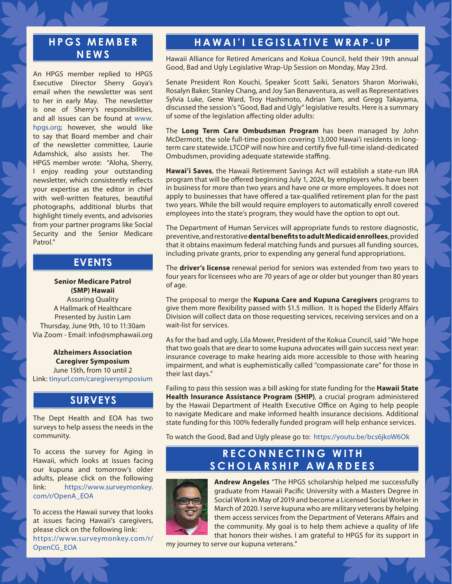#### **H P G S M E M B E R NEWS**

An HPGS member replied to HPGS Executive Director Sherry Goya's email when the newsletter was sent to her in early May. The newsletter is one of Sherry's responsibilities, and all issues can be found at www. hpgs.org; however, she would like to say that Board member and chair of the newsletter committee, Laurie Adamshick, also assists her. The HPGS member wrote: "Aloha, Sherry, I enjoy reading your outstanding newsletter, which consistently reflects your expertise as the editor in chief with well-written features, beautiful photographs, additional blurbs that highlight timely events, and advisories from your partner programs like Social Security and the Senior Medicare Patrol."

### **WORKSHOP SERIES EVENTS**

**Senior Medicare Patrol (SMP) Hawaii** Assuring Quality A Hallmark of Healthcare Presented by Justin Lam Thursday, June 9th, 10 to 11:30am Via Zoom - Email: info@smphawaii.org

**Alzheimers Association Caregiver Symposium** June 15th, from 10 until 2 Link: tinyurl.com/caregiversymposium

#### **WORKSHOP SERIES SURVEYS**

The Dept Health and EOA has two surveys to help assess the needs in the community.

To access the survey for Aging in Hawaii, which looks at issues facing our kupuna and tomorrow's older adults, please click on the following link: https://www.surveymonkey. com/r/OpenA\_EOA

To access the Hawaii survey that looks at issues facing Hawaii's caregivers, please click on the following link: https://www.surveymonkey.com/r/ OpenCG\_EOA

## **HAWAI'I LEGISLATIVE WRAP-UP**

Hawaii Alliance for Retired Americans and Kokua Council, held their 19th annual Good, Bad and Ugly Legislative Wrap-Up Session on Monday, May 23rd.

Senate President Ron Kouchi, Speaker Scott Saiki, Senators Sharon Moriwaki, Rosalyn Baker, Stanley Chang, and Joy San Benaventura, as well as Representatives Sylvia Luke, Gene Ward, Troy Hashimoto, Adrian Tam, and Gregg Takayama, discussed the session's "Good, Bad and Ugly" legislative results. Here is a summary of some of the legislation affecting older adults:

The **Long Term Care Ombudsman Program** has been managed by John McDermott, the sole full-time position covering 13,000 Hawai'i residents in longterm care statewide. LTCOP will now hire and certify five full-time island-dedicated Ombudsmen, providing adequate statewide staffing.

**Hawai'i Saves**, the Hawaii Retirement Savings Act will establish a state-run IRA program that will be offered beginning July 1, 2024, by employers who have been in business for more than two years and have one or more employees. It does not apply to businesses that have offered a tax-qualified retirement plan for the past two years. While the bill would require employers to automatically enroll covered employees into the state's program, they would have the option to opt out.

The Department of Human Services will appropriate funds to restore diagnostic, preventive, and restorative **dental benefi ts to adult Medicaid enrollees**, provided that it obtains maximum federal matching funds and pursues all funding sources, including private grants, prior to expending any general fund appropriations.

The **driver's license** renewal period for seniors was extended from two years to four years for licensees who are 70 years of age or older but younger than 80 years of age.

The proposal to merge the **Kupuna Care and Kupuna Caregivers** programs to give them more flexibility passed with \$1.5 million. It is hoped the Elderly Affairs Division will collect data on those requesting services, receiving services and on a wait-list for services.

As for the bad and ugly, Lila Mower, President of the Kokua Council, said "We hope that two goals that are dear to some kupuna advocates will gain success next year: insurance coverage to make hearing aids more accessible to those with hearing impairment, and what is euphemistically called "compassionate care" for those in their last days."

Failing to pass this session was a bill asking for state funding for the **Hawaii State Health Insurance Assistance Program (SHIP)**, a crucial program administered by the Hawaii Department of Health Executive Office on Aging to help people to navigate Medicare and make informed health insurance decisions. Additional state funding for this 100% federally funded program will help enhance services.

To watch the Good, Bad and Ugly please go to: https://youtu.be/bcs6jkoW6Ok

#### **RECONNECTING WITH CHRISTY NISHITA SCHOLARSHIP AWARDEES**



**Andrew Angeles** "The HPGS scholarship helped me successfully graduate from Hawaii Pacific University with a Masters Degree in Social Work in May of 2019 and become a Licensed Social Worker in March of 2020. I serve kupuna who are military veterans by helping them access services from the Department of Veterans Affairs and the community. My goal is to help them achieve a quality of life that honors their wishes. I am grateful to HPGS for its support in

my journey to serve our kupuna veterans."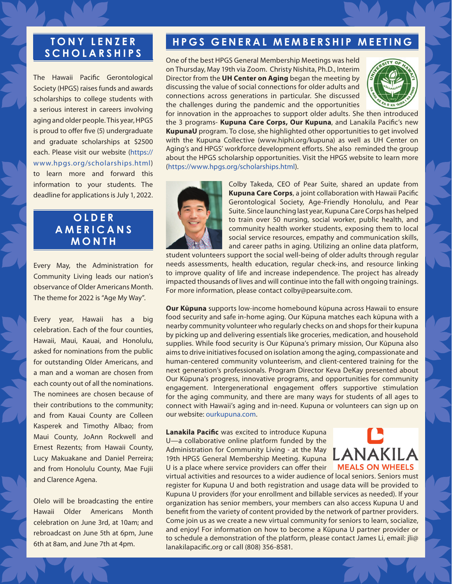### **T O N Y L E N Z E R SCHOLARSHIPS**

The Hawaii Pacific Gerontological Society (HPGS) raises funds and awards scholarships to college students with a serious interest in careers involving aging and older people. This year, HPGS is proud to offer five (5) undergraduate and graduate scholarships at \$2500 each. Please visit our website (https:// www.hpgs.org/scholarships.html) to learn more and forward this information to your students. The deadline for applications is July 1, 2022.

#### **OLDER COMMUNITY A M E R I C A N S HEALTH FAIR MONTH**

Every May, the Administration for Community Living leads our nation's observance of Older Americans Month. The theme for 2022 is "Age My Way".

Every year, Hawaii has a big celebration. Each of the four counties, Hawaii, Maui, Kauai, and Honolulu, asked for nominations from the public for outstanding Older Americans, and a man and a woman are chosen from each county out of all the nominations. The nominees are chosen because of their contributions to the community; and from Kauai County are Colleen Kasperek and Timothy Albao; from Maui County, JoAnn Rockwell and Ernest Rezents; from Hawaii County, Lucy Makuakane and Daniel Perreira; and from Honolulu County, Mae Fujii and Clarence Agena.

Olelo will be broadcasting the entire Hawaii Older Americans Month celebration on June 3rd, at 10am; and rebroadcast on June 5th at 6pm, June 6th at 8am, and June 7th at 4pm.

# **HPGS GENERAL MEMBERSHIP MEETING**

One of the best HPGS General Membership Meetings was held on Thursday, May 19th via Zoom. Christy Nishita, Ph.D., Interim Director from the **UH Center on Aging** began the meeting by discussing the value of social connections for older adults and connections across generations in particular. She discussed the challenges during the pandemic and the opportunities



for innovation in the approaches to support older adults. She then introduced the 3 programs- **Kupuna Care Corps, Our Kupuna**, and Lanakila Pacific's new **KupunaU** program. To close, she highlighted other opportunities to get involved with the Kupuna Collective (www.hiphi.org/kupuna) as well as UH Center on Aging's and HPGS' workforce development efforts. She also reminded the group about the HPGS scholarship opportunities. Visit the HPGS website to learn more (https://www.hpgs.org/scholarships.html).



Colby Takeda, CEO of Pear Suite, shared an update from **Kupuna Care Corps**, a joint collaboration with Hawaii Pacific Gerontological Society, Age-Friendly Honolulu, and Pear Suite. Since launching last year, Kupuna Care Corps has helped to train over 50 nursing, social worker, public health, and community health worker students, exposing them to local social service resources, empathy and communication skills, and career paths in aging. Utilizing an online data platform,

student volunteers support the social well-being of older adults through regular needs assessments, health education, regular check-ins, and resource linking to improve quality of life and increase independence. The project has already impacted thousands of lives and will continue into the fall with ongoing trainings. For more information, please contact colby@pearsuite.com.

**Our Kūpuna** supports low-income homebound kūpuna across Hawaii to ensure food security and safe in-home aging. Our Kūpuna matches each kūpuna with a nearby community volunteer who regularly checks on and shops for their kupuna by picking up and delivering essentials like groceries, medication, and household supplies. While food security is Our Kūpuna's primary mission, Our Kūpuna also aims to drive initiatives focused on isolation among the aging, compassionate and human-centered community volunteerism, and client-centered training for the next generation's professionals. Program Director Keva DeKay presented about Our Kūpuna's progress, innovative programs, and opportunities for community engagement. Intergenerational engagement offers supportive stimulation for the aging community, and there are many ways for students of all ages to connect with Hawaii's aging and in-need. Kupuna or volunteers can sign up on our website: ourkupuna.com.

**Lanakila Pacific** was excited to introduce Kupuna U—a collaborative online platform funded by the Administration for Community Living - at the May 19th HPGS General Membership Meeting. Kupuna U is a place where service providers can offer their



virtual activities and resources to a wider audience of local seniors. Seniors must register for Kupuna U and both registration and usage data will be provided to Kupuna U providers (for your enrollment and billable services as needed). If your organization has senior members, your members can also access Kupuna U and benefit from the variety of content provided by the network of partner providers. Come join us as we create a new virtual community for seniors to learn, socialize, and enjoy! For information on how to become a Kūpuna U partner provider or to schedule a demonstration of the platform, please contact James Li, email: jli@ lanakilapacific.org or call (808) 356-8581.